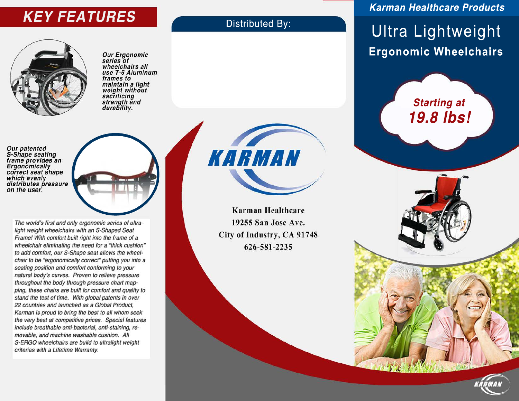# **KEY FEATURES** Distributed By:



Our Ergonomic<br>series of wheelchairs all use T-6 Aluminum frames to maintain a light weight without sacrificing<br>strength and durability.

Our patented<br>S-Shape seating frame provides an Ergonomically correct seat shape which evenly distributes pressure on the user.

> The world's first and only ergonomic series of ultralight weight wheelchairs with an S-Shaped Seat Frame! With comfort built right into the frame of a wheelchair eliminating the need for a "thick cushion" to add comfort, our S-Shape seat allows the wheelchair to be "ergonomically correct" putting you into a seating position and comfort conforming to your natural body's curves. Proven to relieve pressure throughout the body through pressure chart mapping, these chairs are built for comfort and quality to stand the test of time. With global patents in over 22 countries and launched as a Global Product, Karman is proud to bring the best to all whom seek the very best at competitive prices. Special features include breathable anti-bacterial, anti-staining, removable, and machine washable cushion. All S-ERGO wheelchairs are build to ultralight weight criterias with a Lifetime Warranty.

KARMAN

Ultra Lightweight **Ergonomic Wheelchairs**

**Karman Healthcare Products**

**Starting at 19.8 lbs!**

**Karman Healthcare** 19255 San Jose Ave. City of Industry, CA 91748 626-581-2235